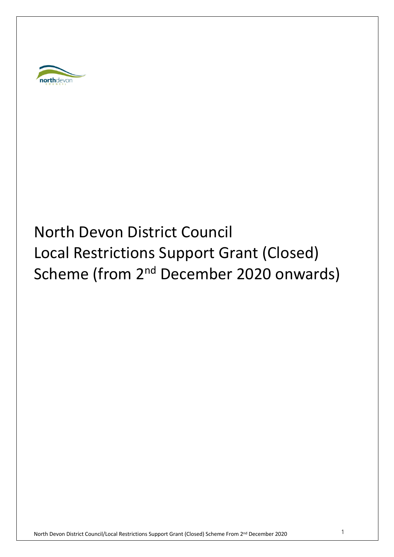

# North Devon District Council Local Restrictions Support Grant (Closed) Scheme (from 2<sup>nd</sup> December 2020 onwards)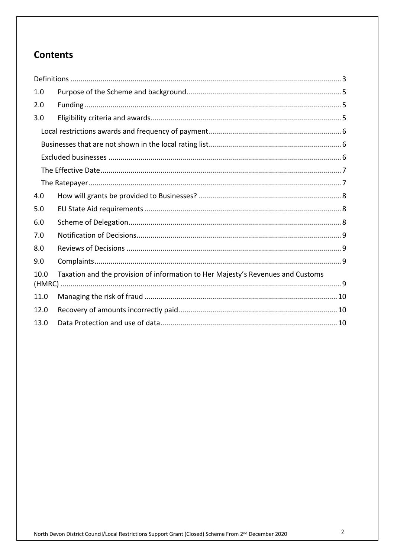# **Contents**

| 1.0  |                                                                                 |  |  |
|------|---------------------------------------------------------------------------------|--|--|
| 2.0  |                                                                                 |  |  |
| 3.0  |                                                                                 |  |  |
|      |                                                                                 |  |  |
|      |                                                                                 |  |  |
|      |                                                                                 |  |  |
|      |                                                                                 |  |  |
|      |                                                                                 |  |  |
| 4.0  |                                                                                 |  |  |
| 5.0  |                                                                                 |  |  |
| 6.0  |                                                                                 |  |  |
| 7.0  |                                                                                 |  |  |
| 8.0  |                                                                                 |  |  |
| 9.0  |                                                                                 |  |  |
| 10.0 | Taxation and the provision of information to Her Majesty's Revenues and Customs |  |  |
| 11.0 |                                                                                 |  |  |
| 12.0 |                                                                                 |  |  |
| 13.0 |                                                                                 |  |  |
|      |                                                                                 |  |  |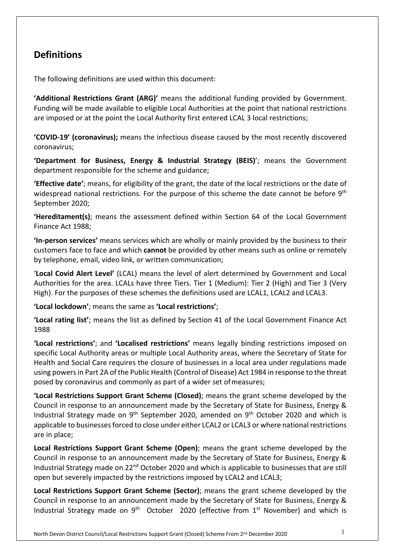## **Definitions**

The following definitions are used within this document:

**'Additional Restrictions Grant (ARG)'** means the additional funding provided by Government. Funding will be made available to eligible Local Authorities at the point that national restrictions are imposed or at the point the Local Authority first entered LCAL 3 local restrictions;

**'COVID-19' (coronavirus);** means the infectious disease caused by the most recently discovered coronavirus;

**'Department for Business, Energy & Industrial Strategy (BEIS)**'; means the Government department responsible for the scheme and guidance;

**'Effective date'**; means, for eligibility of the grant, the date of the local restrictions or the date of widespread national restrictions. For the purpose of this scheme the date cannot be before 9<sup>th</sup> September 2020;

**'Hereditament(s)**; means the assessment defined within Section 64 of the Local Government Finance Act 1988;

**'In-person services'** means services which are wholly or mainly provided by the business to their customers face to face and which **cannot** be provided by other means such as online or remotely by telephone, email, video link, or written communication;

'**Local Covid Alert Level'** (LCAL) means the level of alert determined by Government and Local Authorities for the area. LCALs have three Tiers. Tier 1 (Medium): Tier 2 (High) and Tier 3 (Very High). For the purposes of these schemes the definitions used are LCAL1, LCAL2 and LCAL3.

**'Local lockdown'**; means the same as **'Local restrictions'**;

**'Local rating list'**; means the list as defined by Section 41 of the Local Government Finance Act 1988

**'Local restrictions'**; and **'Localised restrictions'** means legally binding restrictions imposed on specific Local Authority areas or multiple Local Authority areas, where the Secretary of State for Health and Social Care requires the closure of businesses in a local area under regulations made using powers in Part 2A of the Public Health (Control of Disease) Act 1984 in response to the threat posed by coronavirus and commonly as part of a wider set ofmeasures;

**'Local Restrictions Support Grant Scheme (Closed)**; means the grant scheme developed by the Council in response to an announcement made by the Secretary of State for Business, Energy & Industrial Strategy made on  $9<sup>th</sup>$  September 2020, amended on  $9<sup>th</sup>$  October 2020 and which is applicable to businesses forced to close under either LCAL2 or LCAL3 or where national restrictions are in place;

**Local Restrictions Support Grant Scheme (Open)**; means the grant scheme developed by the Council in response to an announcement made by the Secretary of State for Business, Energy & Industrial Strategy made on 22<sup>nd</sup> October 2020 and which is applicable to businesses that are still open but severely impacted by the restrictions imposed by LCAL2 and LCAL3 ;

**Local Restrictions Support Grant Scheme (Sector)**; means the grant scheme developed by the Council in response to an announcement made by the Secretary of State for Business, Energy & Industrial Strategy made on  $9<sup>th</sup>$  October 2020 (effective from  $1<sup>st</sup>$  November) and which is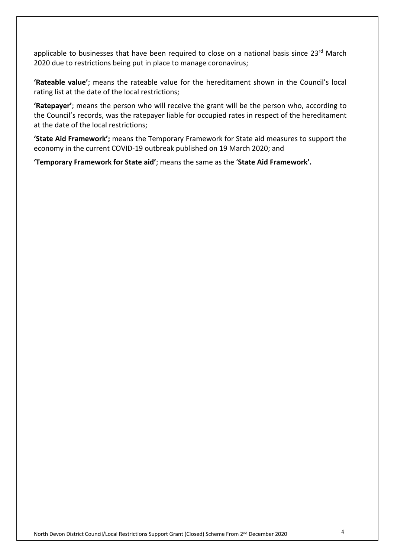applicable to businesses that have been required to close on a national basis since  $23^{rd}$  March 2020 due to restrictions being put in place to manage coronavirus;

**'Rateable value'**; means the rateable value for the hereditament shown in the Council's local rating list at the date of the local restrictions;

**'Ratepayer'**; means the person who will receive the grant will be the person who, according to the Council's records, was the ratepayer liable for occupied rates in respect of the hereditament at the date of the local restrictions;

**'State Aid Framework';** means the Temporary Framework for State aid measures to support the economy in the current COVID-19 outbreak published on 19 March 2020; and

**'Temporary Framework for State aid'**; means the same as the ' **State Aid Framework' .**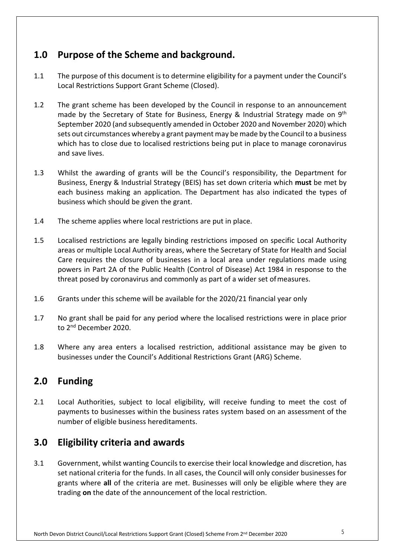## **1.0 Purpose of the Scheme and background.**

- 1.1 The purpose of this document is to determine eligibility for a payment under the Council's Local Restrictions Support Grant Scheme (Closed).
- 1.2 The grant scheme has been developed by the Council in response to an announcement made by the Secretary of State for Business, Energy & Industrial Strategy made on  $9<sup>th</sup>$ September 2020 (and subsequently amended in October 2020 and November 2020) which sets out circumstances whereby a grant payment may be made by the Council to a business which has to close due to localised restrictions being put in place to manage coronavirus and save lives.
- 1.3 Whilst the awarding of grants will be the Council's responsibility, the Department for Business, Energy & Industrial Strategy (BEIS) has set down criteria which **must** be met by each business making an application. The Department has also indicated the types of business which should be given the grant.
- 1.4 The scheme applies where local restrictions are put in place.
- 1.5 Localised restrictions are legally binding restrictions imposed on specific Local Authority areas or multiple Local Authority areas, where the Secretary of State for Health and Social Care requires the closure of businesses in a local area under regulations made using powers in Part 2A of the Public Health (Control of Disease) Act 1984 in response to the threat posed by coronavirus and commonly as part of a wider set of measures.
- 1.6 Grants under this scheme will be available for the 2020/21 financial year only
- 1.7 No grant shall be paid for any period where the localised restrictions were in place prior to 2<sup>nd</sup> December 2020.
- 1.8 Where any area enters a localised restriction, additional assistance may be given to businesses under the Council's Additional Restrictions Grant (ARG) Scheme.

### **2.0 Funding**

2.1 Local Authorities, subject to local eligibility, will receive funding to meet the cost of payments to businesses within the business rates system based on an assessment of the number of eligible business hereditaments.

### **3.0 Eligibility criteria and awards**

3.1 Government, whilst wanting Councils to exercise their local knowledge and discretion, has set national criteria for the funds. In all cases, the Council will only consider businesses for grants where **all** of the criteria are met. Businesses will only be eligible where they are trading **on** the date of the announcement of the local restriction.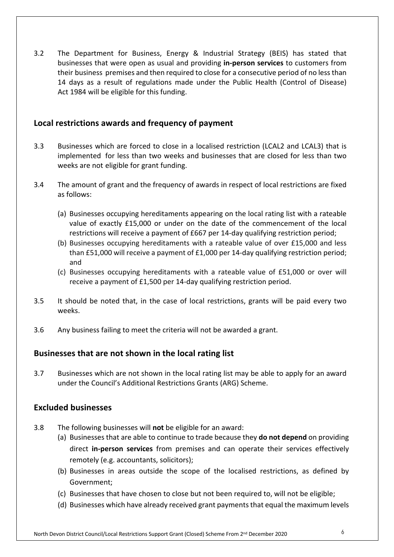3.2 The Department for Business, Energy & Industrial Strategy (BEIS) has stated that businesses that were open as usual and providing **in-person services** to customers from their business premises and then required to close for a consecutive period of no less than 14 days as a result of regulations made under the Public Health (Control of Disease) Act 1984 will be eligible for this funding.

#### **Local restrictions awards and frequency of payment**

- 3.3 Businesses which are forced to close in a localised restriction (LCAL2 and LCAL3) that is implemented for less than two weeks and businesses that are closed for less than two weeks are not eligible for grant funding.
- 3.4 The amount of grant and the frequency of awards in respect of local restrictions are fixed as follows:
	- (a) Businesses occupying hereditaments appearing on the local rating list with a rateable value of exactly £15,000 or under on the date of the commencement of the local restrictions will receive a payment of £667 per 14-day qualifying restriction period;
	- (b) Businesses occupying hereditaments with a rateable value of over £15,000 and less than £51,000 will receive a payment of £1,000 per 14-day qualifying restriction period; and
	- (c) Businesses occupying hereditaments with a rateable value of £51,000 or over will receive a payment of £1,500 per 14-day qualifying restriction period.
- 3.5 It should be noted that, in the case of local restrictions, grants will be paid every two weeks.
- 3.6 Any business failing to meet the criteria will not be awarded a grant.

#### **Businesses that are not shown in the local rating list**

3.7 Businesses which are not shown in the local rating list may be able to apply for an award under the Council's Additional Restrictions Grants (ARG) Scheme.

#### **Excluded businesses**

- 3.8 The following businesses will **not** be eligible for an award:
	- (a) Businesses that are able to continue to trade because they **do not depend** on providing direct **in-person services** from premises and can operate their services effectively remotely (e.g. accountants, solicitors);
	- (b) Businesses in areas outside the scope of the localised restrictions, as defined by Government;
	- (c) Businesses that have chosen to close but not been required to, will not be eligible;
	- (d) Businesses which have already received grant payments that equal the maximum levels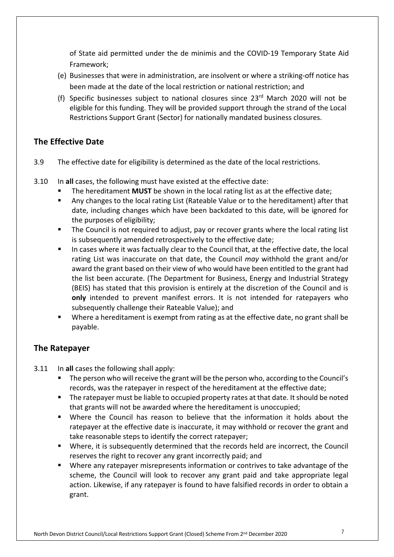of State aid permitted under the de minimis and the COVID-19 Temporary State Aid Framework;

- (e) Businesses that were in administration, are insolvent or where a striking-off notice has been made at the date of the local restriction or national restriction; and
- (f) Specific businesses subject to national closures since  $23<sup>rd</sup>$  March 2020 will not be eligible for this funding. They will be provided support through the strand of the Local Restrictions Support Grant (Sector) for nationally mandated business closures.

#### **The Effective Date**

- 3.9 The effective date for eligibility is determined as the date of the local restrictions.
- 3.10 In **all** cases, the following must have existed at the effective date:
	- The hereditament **MUST** be shown in the local rating list as at the effective date;
	- Any changes to the local rating List (Rateable Value or to the hereditament) after that date, including changes which have been backdated to this date, will be ignored for the purposes of eligibility;
	- The Council is not required to adjust, pay or recover grants where the local rating list is subsequently amended retrospectively to the effective date;
	- In cases where it was factually clear to the Council that, at the effective date, the local rating List was inaccurate on that date, the Council *may* withhold the grant and/or award the grant based on their view of who would have been entitled to the grant had the list been accurate. (The Department for Business, Energy and Industrial Strategy (BEIS) has stated that this provision is entirely at the discretion of the Council and is **only** intended to prevent manifest errors. It is not intended for ratepayers who subsequently challenge their Rateable Value); and
	- Where a hereditament is exempt from rating as at the effective date, no grant shall be payable.

#### **The Ratepayer**

- 3.11 In **all** cases the following shall apply:
	- The person who will receive the grant will be the person who, according to the Council's records, was the ratepayer in respect of the hereditament at the effective date;
	- The ratepayer must be liable to occupied property rates at that date. It should be noted that grants will not be awarded where the hereditament is unoccupied;
	- Where the Council has reason to believe that the information it holds about the ratepayer at the effective date is inaccurate, it may withhold or recover the grant and take reasonable steps to identify the correct ratepayer;
	- Where, it is subsequently determined that the records held are incorrect, the Council reserves the right to recover any grant incorrectly paid; and
	- Where any ratepayer misrepresents information or contrives to take advantage of the scheme, the Council will look to recover any grant paid and take appropriate legal action. Likewise, if any ratepayer is found to have falsified records in order to obtain a grant.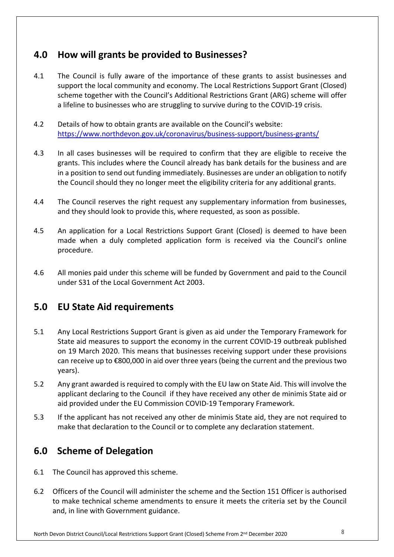## **4.0 How will grants be provided to Businesses?**

- 4.1 The Council is fully aware of the importance of these grants to assist businesses and support the local community and economy. The Local Restrictions Support Grant (Closed) scheme together with the Council's Additional Restrictions Grant (ARG) scheme will offer a lifeline to businesses who are struggling to survive during to the COVID-19 crisis.
- 4.2 Details of how to obtain grants are available on the Council's website: <https://www.northdevon.gov.uk/coronavirus/business-support/business-grants>/
- 4.3 In all cases businesses will be required to confirm that they are eligible to receive the grants. This includes where the Council already has bank details for the business and are in a position to send out funding immediately. Businesses are under an obligation to notify the Council should they no longer meet the eligibility criteria for any additional grants.
- 4.4 The Council reserves the right request any supplementary information from businesses, and they should look to provide this, where requested, as soon as possible.
- 4.5 An application for a Local Restrictions Support Grant (Closed) is deemed to have been made when a duly completed application form is received via the Council's online procedure.
- 4.6 All monies paid under this scheme will be funded by Government and paid to the Council under S31 of the Local Government Act 2003.

### **5.0 EU State Aid requirements**

- 5.1 Any Local Restrictions Support Grant is given as aid under the Temporary Framework for State aid measures to support the economy in the current COVID-19 outbreak published on 19 March 2020. This means that businesses receiving support under these provisions can receive up to €800,000 in aid over three years (being the current and the previous two years).
- 5.2 Any grant awarded is required to comply with the EU law on State Aid. This will involve the applicant declaring to the Council if they have received any other de minimis State aid or aid provided under the EU Commission COVID-19 Temporary Framework.
- 5.3 If the applicant has not received any other de minimis State aid, they are not required to make that declaration to the Council or to complete any declaration statement.

# **6.0 Scheme of Delegation**

- 6.1 The Council has approved this scheme.
- 6.2 Officers of the Council will administer the scheme and the Section 151 Officer is authorised to make technical scheme amendments to ensure it meets the criteria set by the Council and, in line with Government guidance.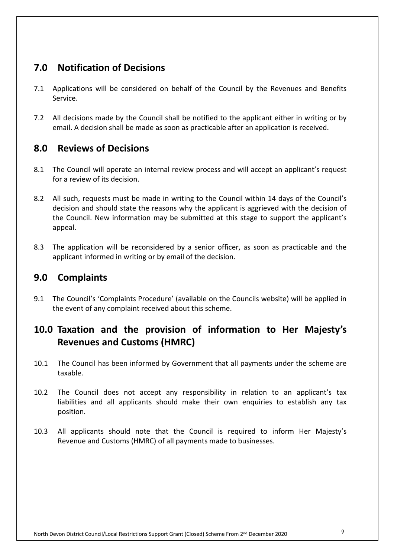# **7.0 Notification of Decisions**

- 7.1 Applications will be considered on behalf of the Council by the Revenues and Benefits Service.
- 7.2 All decisions made by the Council shall be notified to the applicant either in writing or by email. A decision shall be made as soon as practicable after an application is received.

#### **8.0 Reviews of Decisions**

- 8.1 The Council will operate an internal review process and will accept an applicant's request for a review of its decision.
- 8.2 All such, requests must be made in writing to the Council within 14 days of the Council's decision and should state the reasons why the applicant is aggrieved with the decision of the Council. New information may be submitted at this stage to support the applicant's appeal.
- 8.3 The application will be reconsidered by a senior officer, as soon as practicable and the applicant informed in writing or by email of the decision.

#### **9.0 Complaints**

9.1 The Council's 'Complaints Procedure' (available on the Councils website) will be applied in the event of any complaint received about this scheme.

# **10.0 Taxation and the provision of information to Her Majesty's Revenues and Customs (HMRC)**

- 10.1 The Council has been informed by Government that all payments under the scheme are taxable.
- 10.2 The Council does not accept any responsibility in relation to an applicant's tax liabilities and all applicants should make their own enquiries to establish any tax position.
- 10.3 All applicants should note that the Council is required to inform Her Majesty's Revenue and Customs (HMRC) of all payments made to businesses.